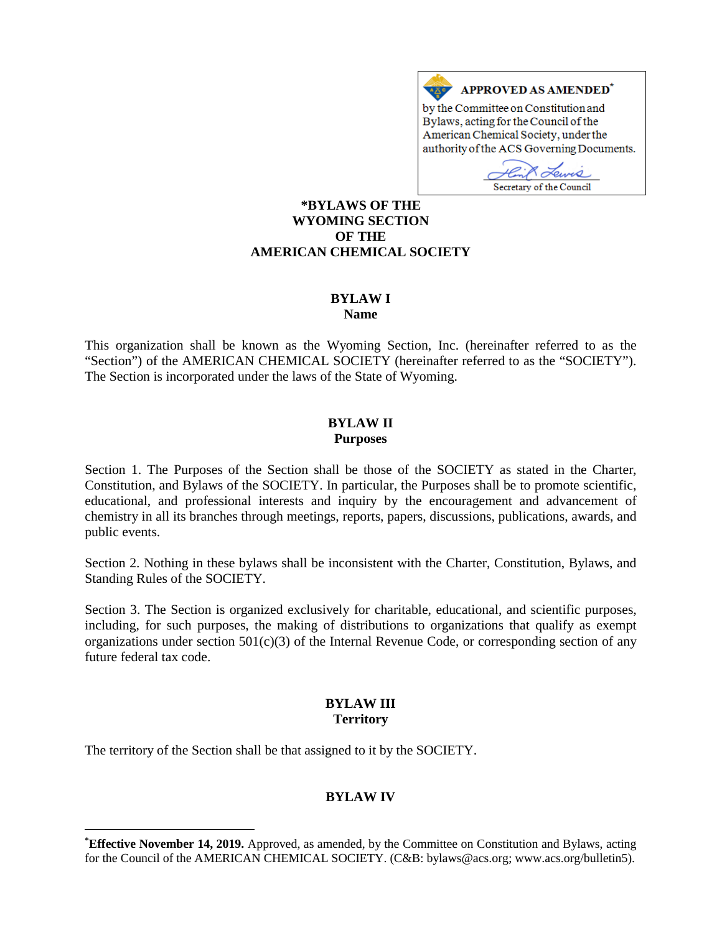

Secretary of the Council

#### **[\\*](#page-0-0)BYLAWS OF THE WYOMING SECTION OF THE AMERICAN CHEMICAL SOCIETY**

# **BYLAW I**

**Name**

This organization shall be known as the Wyoming Section, Inc. (hereinafter referred to as the "Section") of the AMERICAN CHEMICAL SOCIETY (hereinafter referred to as the "SOCIETY"). The Section is incorporated under the laws of the State of Wyoming.

## **BYLAW II Purposes**

Section 1. The Purposes of the Section shall be those of the SOCIETY as stated in the Charter, Constitution, and Bylaws of the SOCIETY. In particular, the Purposes shall be to promote scientific, educational, and professional interests and inquiry by the encouragement and advancement of chemistry in all its branches through meetings, reports, papers, discussions, publications, awards, and public events.

Section 2. Nothing in these bylaws shall be inconsistent with the Charter, Constitution, Bylaws, and Standing Rules of the SOCIETY.

Section 3. The Section is organized exclusively for charitable, educational, and scientific purposes, including, for such purposes, the making of distributions to organizations that qualify as exempt organizations under section 501(c)(3) of the Internal Revenue Code, or corresponding section of any future federal tax code.

## **BYLAW III Territory**

The territory of the Section shall be that assigned to it by the SOCIETY.

 $\overline{a}$ 

# **BYLAW IV**

<span id="page-0-0"></span>**<sup>\*</sup> Effective November 14, 2019.** Approved, as amended, by the Committee on Constitution and Bylaws, acting for the Council of the AMERICAN CHEMICAL SOCIETY. (C&B: bylaws@acs.org; www.acs.org/bulletin5).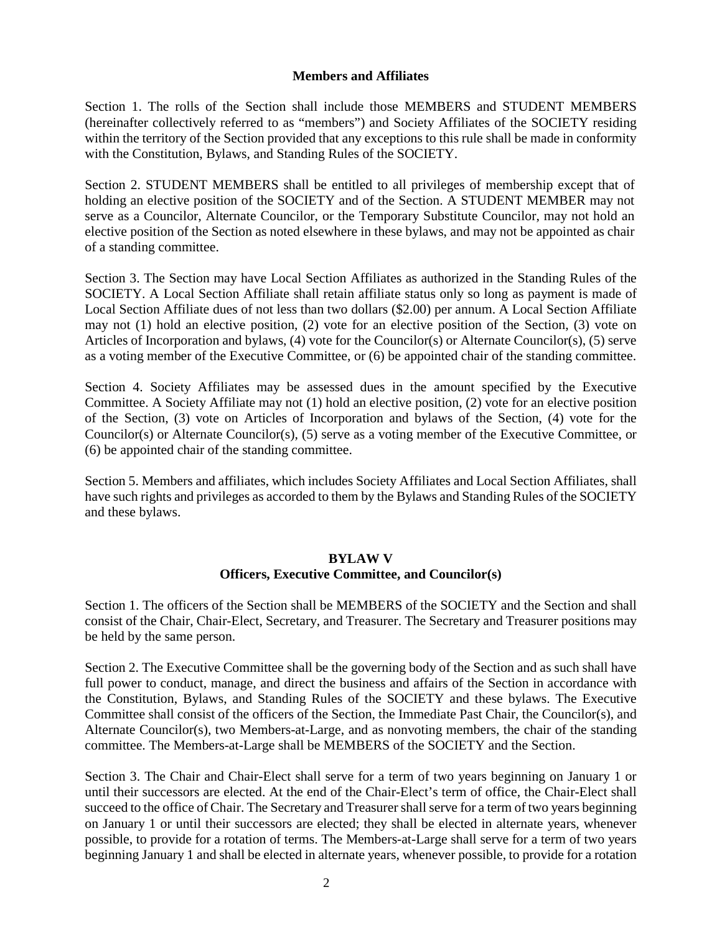#### **Members and Affiliates**

Section 1. The rolls of the Section shall include those MEMBERS and STUDENT MEMBERS (hereinafter collectively referred to as "members") and Society Affiliates of the SOCIETY residing within the territory of the Section provided that any exceptions to this rule shall be made in conformity with the Constitution, Bylaws, and Standing Rules of the SOCIETY.

Section 2. STUDENT MEMBERS shall be entitled to all privileges of membership except that of holding an elective position of the SOCIETY and of the Section. A STUDENT MEMBER may not serve as a Councilor, Alternate Councilor, or the Temporary Substitute Councilor, may not hold an elective position of the Section as noted elsewhere in these bylaws, and may not be appointed as chair of a standing committee.

Section 3. The Section may have Local Section Affiliates as authorized in the Standing Rules of the SOCIETY. A Local Section Affiliate shall retain affiliate status only so long as payment is made of Local Section Affiliate dues of not less than two dollars (\$2.00) per annum. A Local Section Affiliate may not (1) hold an elective position, (2) vote for an elective position of the Section, (3) vote on Articles of Incorporation and bylaws, (4) vote for the Councilor(s) or Alternate Councilor(s), (5) serve as a voting member of the Executive Committee, or (6) be appointed chair of the standing committee.

Section 4. Society Affiliates may be assessed dues in the amount specified by the Executive Committee. A Society Affiliate may not (1) hold an elective position, (2) vote for an elective position of the Section, (3) vote on Articles of Incorporation and bylaws of the Section, (4) vote for the Councilor(s) or Alternate Councilor(s), (5) serve as a voting member of the Executive Committee, or (6) be appointed chair of the standing committee.

Section 5. Members and affiliates, which includes Society Affiliates and Local Section Affiliates, shall have such rights and privileges as accorded to them by the Bylaws and Standing Rules of the SOCIETY and these bylaws.

#### **BYLAW V**

#### **Officers, Executive Committee, and Councilor(s)**

Section 1. The officers of the Section shall be MEMBERS of the SOCIETY and the Section and shall consist of the Chair, Chair-Elect, Secretary, and Treasurer. The Secretary and Treasurer positions may be held by the same person.

Section 2. The Executive Committee shall be the governing body of the Section and as such shall have full power to conduct, manage, and direct the business and affairs of the Section in accordance with the Constitution, Bylaws, and Standing Rules of the SOCIETY and these bylaws. The Executive Committee shall consist of the officers of the Section, the Immediate Past Chair, the Councilor(s), and Alternate Councilor(s), two Members-at-Large, and as nonvoting members, the chair of the standing committee. The Members-at-Large shall be MEMBERS of the SOCIETY and the Section.

Section 3. The Chair and Chair-Elect shall serve for a term of two years beginning on January 1 or until their successors are elected. At the end of the Chair-Elect's term of office, the Chair-Elect shall succeed to the office of Chair. The Secretary and Treasurer shall serve for a term of two years beginning on January 1 or until their successors are elected; they shall be elected in alternate years, whenever possible, to provide for a rotation of terms. The Members-at-Large shall serve for a term of two years beginning January 1 and shall be elected in alternate years, whenever possible, to provide for a rotation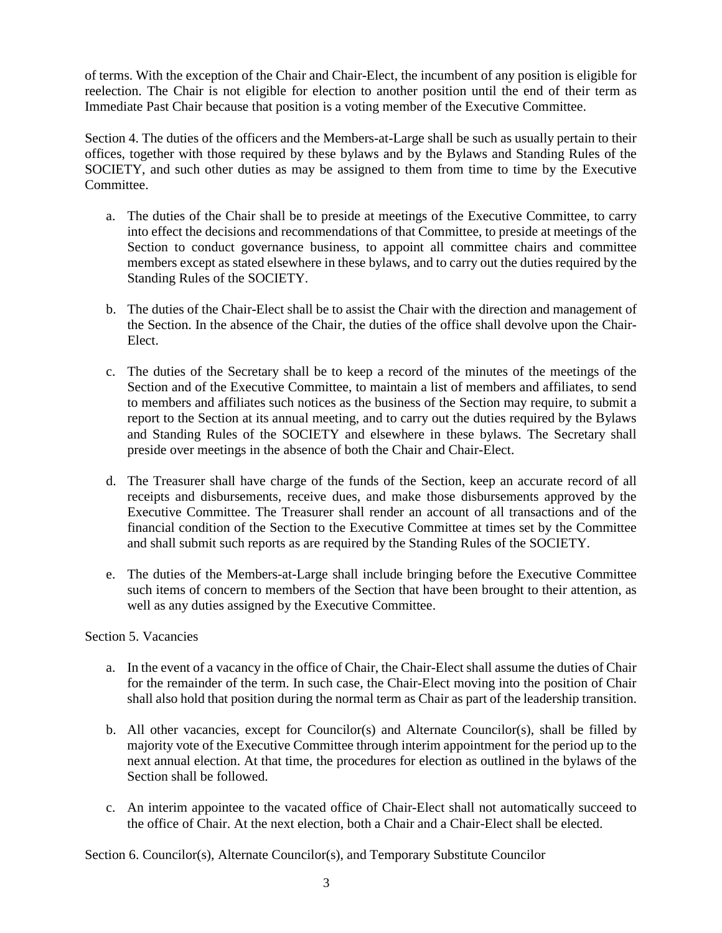of terms. With the exception of the Chair and Chair-Elect, the incumbent of any position is eligible for reelection. The Chair is not eligible for election to another position until the end of their term as Immediate Past Chair because that position is a voting member of the Executive Committee.

Section 4. The duties of the officers and the Members-at-Large shall be such as usually pertain to their offices, together with those required by these bylaws and by the Bylaws and Standing Rules of the SOCIETY, and such other duties as may be assigned to them from time to time by the Executive Committee.

- a. The duties of the Chair shall be to preside at meetings of the Executive Committee, to carry into effect the decisions and recommendations of that Committee, to preside at meetings of the Section to conduct governance business, to appoint all committee chairs and committee members except as stated elsewhere in these bylaws, and to carry out the duties required by the Standing Rules of the SOCIETY.
- b. The duties of the Chair-Elect shall be to assist the Chair with the direction and management of the Section. In the absence of the Chair, the duties of the office shall devolve upon the Chair-Elect.
- c. The duties of the Secretary shall be to keep a record of the minutes of the meetings of the Section and of the Executive Committee, to maintain a list of members and affiliates, to send to members and affiliates such notices as the business of the Section may require, to submit a report to the Section at its annual meeting, and to carry out the duties required by the Bylaws and Standing Rules of the SOCIETY and elsewhere in these bylaws. The Secretary shall preside over meetings in the absence of both the Chair and Chair-Elect.
- d. The Treasurer shall have charge of the funds of the Section, keep an accurate record of all receipts and disbursements, receive dues, and make those disbursements approved by the Executive Committee. The Treasurer shall render an account of all transactions and of the financial condition of the Section to the Executive Committee at times set by the Committee and shall submit such reports as are required by the Standing Rules of the SOCIETY.
- e. The duties of the Members-at-Large shall include bringing before the Executive Committee such items of concern to members of the Section that have been brought to their attention, as well as any duties assigned by the Executive Committee.

## Section 5. Vacancies

- a. In the event of a vacancy in the office of Chair, the Chair-Elect shall assume the duties of Chair for the remainder of the term. In such case, the Chair-Elect moving into the position of Chair shall also hold that position during the normal term as Chair as part of the leadership transition.
- b. All other vacancies, except for Councilor(s) and Alternate Councilor(s), shall be filled by majority vote of the Executive Committee through interim appointment for the period up to the next annual election. At that time, the procedures for election as outlined in the bylaws of the Section shall be followed.
- c. An interim appointee to the vacated office of Chair-Elect shall not automatically succeed to the office of Chair. At the next election, both a Chair and a Chair-Elect shall be elected.

Section 6. Councilor(s), Alternate Councilor(s), and Temporary Substitute Councilor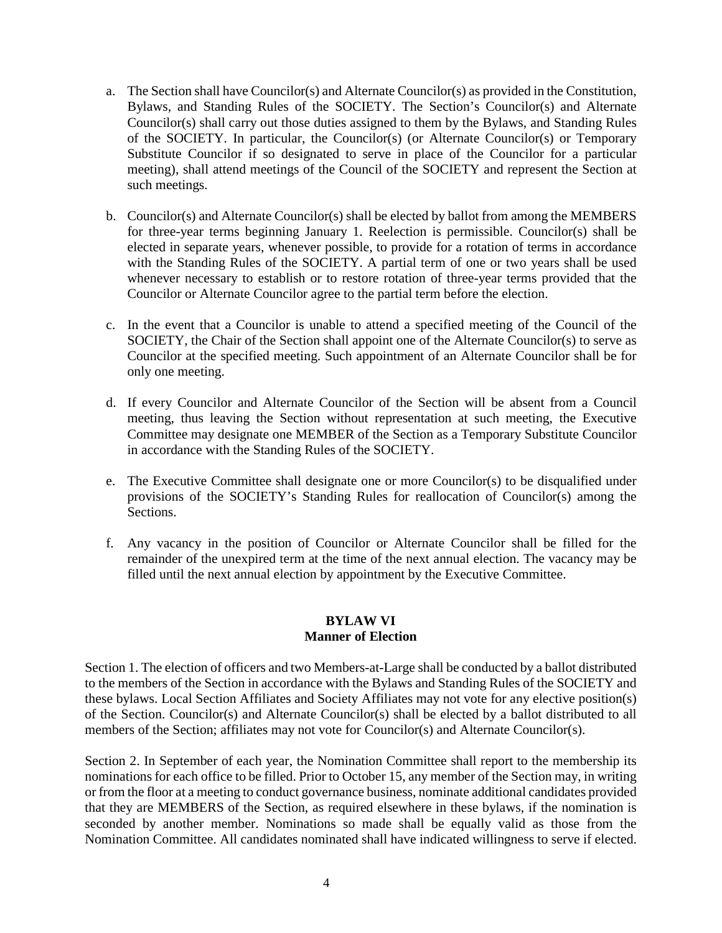- a. The Section shall have Councilor(s) and Alternate Councilor(s) as provided in the Constitution, Bylaws, and Standing Rules of the SOCIETY. The Section's Councilor(s) and Alternate Councilor(s) shall carry out those duties assigned to them by the Bylaws, and Standing Rules of the SOCIETY. In particular, the Councilor(s) (or Alternate Councilor(s) or Temporary Substitute Councilor if so designated to serve in place of the Councilor for a particular meeting), shall attend meetings of the Council of the SOCIETY and represent the Section at such meetings.
- b. Councilor(s) and Alternate Councilor(s) shall be elected by ballot from among the MEMBERS for three-year terms beginning January 1. Reelection is permissible. Councilor(s) shall be elected in separate years, whenever possible, to provide for a rotation of terms in accordance with the Standing Rules of the SOCIETY. A partial term of one or two years shall be used whenever necessary to establish or to restore rotation of three-year terms provided that the Councilor or Alternate Councilor agree to the partial term before the election.
- c. In the event that a Councilor is unable to attend a specified meeting of the Council of the SOCIETY, the Chair of the Section shall appoint one of the Alternate Councilor(s) to serve as Councilor at the specified meeting. Such appointment of an Alternate Councilor shall be for only one meeting.
- d. If every Councilor and Alternate Councilor of the Section will be absent from a Council meeting, thus leaving the Section without representation at such meeting, the Executive Committee may designate one MEMBER of the Section as a Temporary Substitute Councilor in accordance with the Standing Rules of the SOCIETY.
- e. The Executive Committee shall designate one or more Councilor(s) to be disqualified under provisions of the SOCIETY's Standing Rules for reallocation of Councilor(s) among the Sections.
- f. Any vacancy in the position of Councilor or Alternate Councilor shall be filled for the remainder of the unexpired term at the time of the next annual election. The vacancy may be filled until the next annual election by appointment by the Executive Committee.

## **BYLAW VI Manner of Election**

Section 1. The election of officers and two Members-at-Large shall be conducted by a ballot distributed to the members of the Section in accordance with the Bylaws and Standing Rules of the SOCIETY and these bylaws. Local Section Affiliates and Society Affiliates may not vote for any elective position(s) of the Section. Councilor(s) and Alternate Councilor(s) shall be elected by a ballot distributed to all members of the Section; affiliates may not vote for Councilor(s) and Alternate Councilor(s).

Section 2. In September of each year, the Nomination Committee shall report to the membership its nominations for each office to be filled. Prior to October 15, any member of the Section may, in writing or from the floor at a meeting to conduct governance business, nominate additional candidates provided that they are MEMBERS of the Section, as required elsewhere in these bylaws, if the nomination is seconded by another member. Nominations so made shall be equally valid as those from the Nomination Committee. All candidates nominated shall have indicated willingness to serve if elected.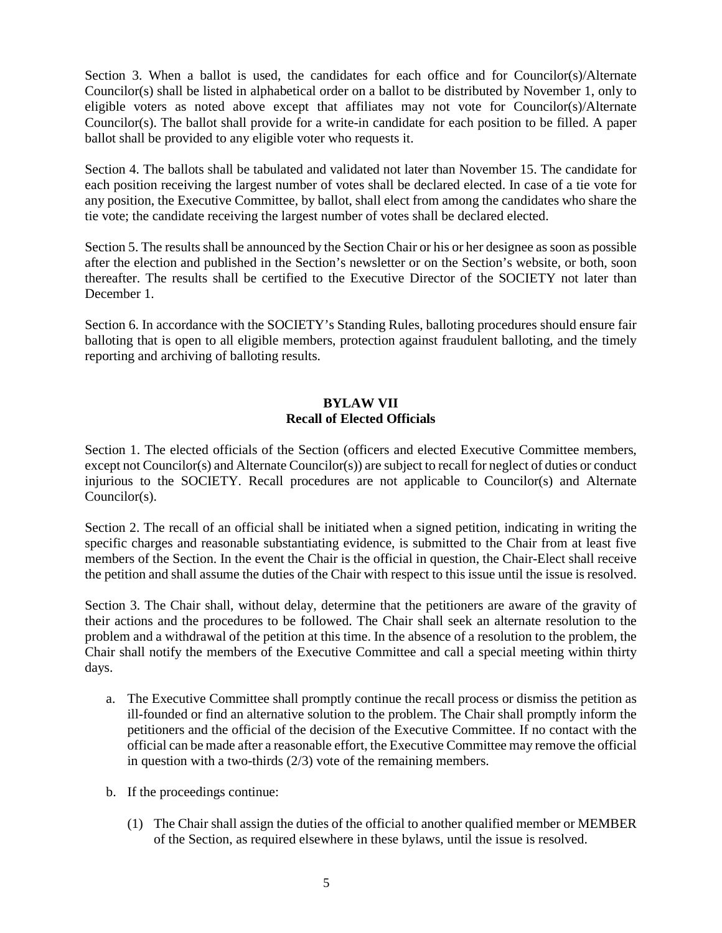Section 3. When a ballot is used, the candidates for each office and for Councilor(s)/Alternate Councilor(s) shall be listed in alphabetical order on a ballot to be distributed by November 1, only to eligible voters as noted above except that affiliates may not vote for Councilor(s)/Alternate Councilor(s). The ballot shall provide for a write-in candidate for each position to be filled. A paper ballot shall be provided to any eligible voter who requests it.

Section 4. The ballots shall be tabulated and validated not later than November 15. The candidate for each position receiving the largest number of votes shall be declared elected. In case of a tie vote for any position, the Executive Committee, by ballot, shall elect from among the candidates who share the tie vote; the candidate receiving the largest number of votes shall be declared elected.

Section 5. The results shall be announced by the Section Chair or his or her designee as soon as possible after the election and published in the Section's newsletter or on the Section's website, or both, soon thereafter. The results shall be certified to the Executive Director of the SOCIETY not later than December 1.

Section 6. In accordance with the SOCIETY's Standing Rules, balloting procedures should ensure fair balloting that is open to all eligible members, protection against fraudulent balloting, and the timely reporting and archiving of balloting results.

# **BYLAW VII Recall of Elected Officials**

Section 1. The elected officials of the Section (officers and elected Executive Committee members, except not Councilor(s) and Alternate Councilor(s)) are subject to recall for neglect of duties or conduct injurious to the SOCIETY. Recall procedures are not applicable to Councilor(s) and Alternate Councilor(s).

Section 2. The recall of an official shall be initiated when a signed petition, indicating in writing the specific charges and reasonable substantiating evidence, is submitted to the Chair from at least five members of the Section. In the event the Chair is the official in question, the Chair-Elect shall receive the petition and shall assume the duties of the Chair with respect to this issue until the issue is resolved.

Section 3. The Chair shall, without delay, determine that the petitioners are aware of the gravity of their actions and the procedures to be followed. The Chair shall seek an alternate resolution to the problem and a withdrawal of the petition at this time. In the absence of a resolution to the problem, the Chair shall notify the members of the Executive Committee and call a special meeting within thirty days.

- a. The Executive Committee shall promptly continue the recall process or dismiss the petition as ill-founded or find an alternative solution to the problem. The Chair shall promptly inform the petitioners and the official of the decision of the Executive Committee. If no contact with the official can be made after a reasonable effort, the Executive Committee may remove the official in question with a two-thirds (2/3) vote of the remaining members.
- b. If the proceedings continue:
	- (1) The Chair shall assign the duties of the official to another qualified member or MEMBER of the Section, as required elsewhere in these bylaws, until the issue is resolved.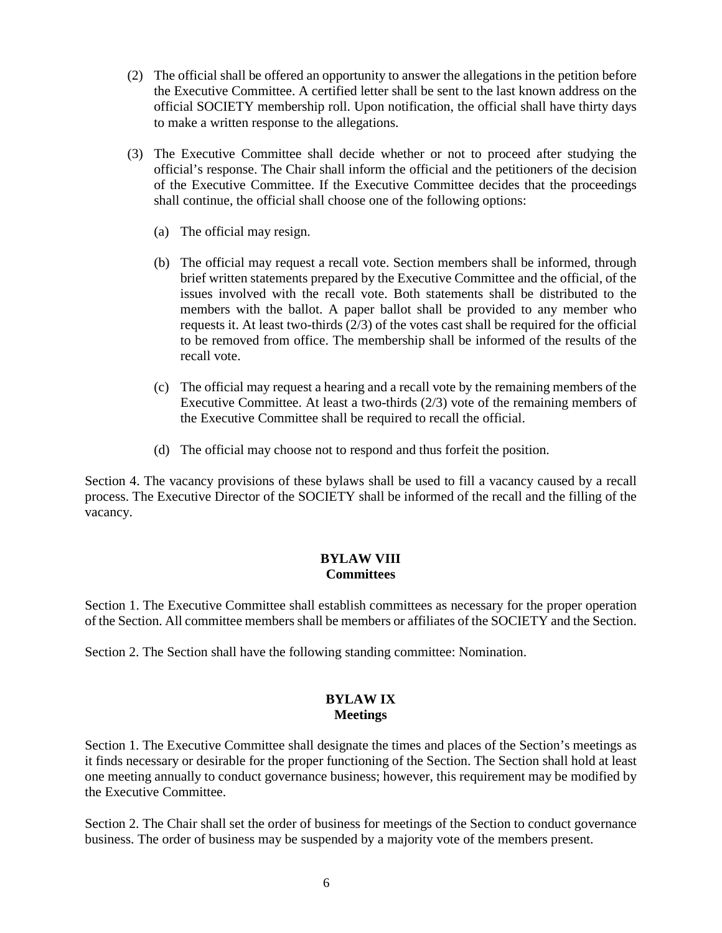- (2) The official shall be offered an opportunity to answer the allegations in the petition before the Executive Committee. A certified letter shall be sent to the last known address on the official SOCIETY membership roll. Upon notification, the official shall have thirty days to make a written response to the allegations.
- (3) The Executive Committee shall decide whether or not to proceed after studying the official's response. The Chair shall inform the official and the petitioners of the decision of the Executive Committee. If the Executive Committee decides that the proceedings shall continue, the official shall choose one of the following options:
	- (a) The official may resign.
	- (b) The official may request a recall vote. Section members shall be informed, through brief written statements prepared by the Executive Committee and the official, of the issues involved with the recall vote. Both statements shall be distributed to the members with the ballot. A paper ballot shall be provided to any member who requests it. At least two-thirds (2/3) of the votes cast shall be required for the official to be removed from office. The membership shall be informed of the results of the recall vote.
	- (c) The official may request a hearing and a recall vote by the remaining members of the Executive Committee. At least a two-thirds (2/3) vote of the remaining members of the Executive Committee shall be required to recall the official.
	- (d) The official may choose not to respond and thus forfeit the position.

Section 4. The vacancy provisions of these bylaws shall be used to fill a vacancy caused by a recall process. The Executive Director of the SOCIETY shall be informed of the recall and the filling of the vacancy.

#### **BYLAW VIII Committees**

Section 1. The Executive Committee shall establish committees as necessary for the proper operation of the Section. All committee members shall be members or affiliates of the SOCIETY and the Section.

Section 2. The Section shall have the following standing committee: Nomination.

## **BYLAW IX Meetings**

Section 1. The Executive Committee shall designate the times and places of the Section's meetings as it finds necessary or desirable for the proper functioning of the Section. The Section shall hold at least one meeting annually to conduct governance business; however, this requirement may be modified by the Executive Committee.

Section 2. The Chair shall set the order of business for meetings of the Section to conduct governance business. The order of business may be suspended by a majority vote of the members present.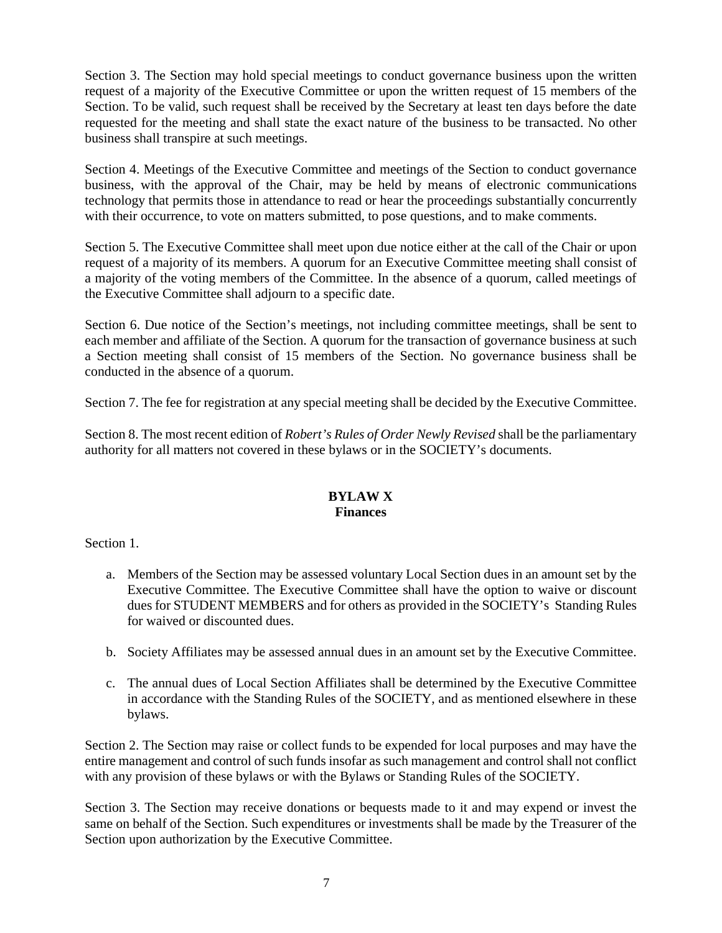Section 3. The Section may hold special meetings to conduct governance business upon the written request of a majority of the Executive Committee or upon the written request of 15 members of the Section. To be valid, such request shall be received by the Secretary at least ten days before the date requested for the meeting and shall state the exact nature of the business to be transacted. No other business shall transpire at such meetings.

Section 4. Meetings of the Executive Committee and meetings of the Section to conduct governance business, with the approval of the Chair, may be held by means of electronic communications technology that permits those in attendance to read or hear the proceedings substantially concurrently with their occurrence, to vote on matters submitted, to pose questions, and to make comments.

Section 5. The Executive Committee shall meet upon due notice either at the call of the Chair or upon request of a majority of its members. A quorum for an Executive Committee meeting shall consist of a majority of the voting members of the Committee. In the absence of a quorum, called meetings of the Executive Committee shall adjourn to a specific date.

Section 6. Due notice of the Section's meetings, not including committee meetings, shall be sent to each member and affiliate of the Section. A quorum for the transaction of governance business at such a Section meeting shall consist of 15 members of the Section. No governance business shall be conducted in the absence of a quorum.

Section 7. The fee for registration at any special meeting shall be decided by the Executive Committee.

Section 8. The most recent edition of *Robert's Rules of Order Newly Revised* shall be the parliamentary authority for all matters not covered in these bylaws or in the SOCIETY's documents.

## **BYLAW X Finances**

Section 1.

- a. Members of the Section may be assessed voluntary Local Section dues in an amount set by the Executive Committee. The Executive Committee shall have the option to waive or discount dues for STUDENT MEMBERS and for others as provided in the SOCIETY's Standing Rules for waived or discounted dues.
- b. Society Affiliates may be assessed annual dues in an amount set by the Executive Committee.
- c. The annual dues of Local Section Affiliates shall be determined by the Executive Committee in accordance with the Standing Rules of the SOCIETY, and as mentioned elsewhere in these bylaws.

Section 2. The Section may raise or collect funds to be expended for local purposes and may have the entire management and control of such funds insofar as such management and control shall not conflict with any provision of these bylaws or with the Bylaws or Standing Rules of the SOCIETY.

Section 3. The Section may receive donations or bequests made to it and may expend or invest the same on behalf of the Section. Such expenditures or investments shall be made by the Treasurer of the Section upon authorization by the Executive Committee.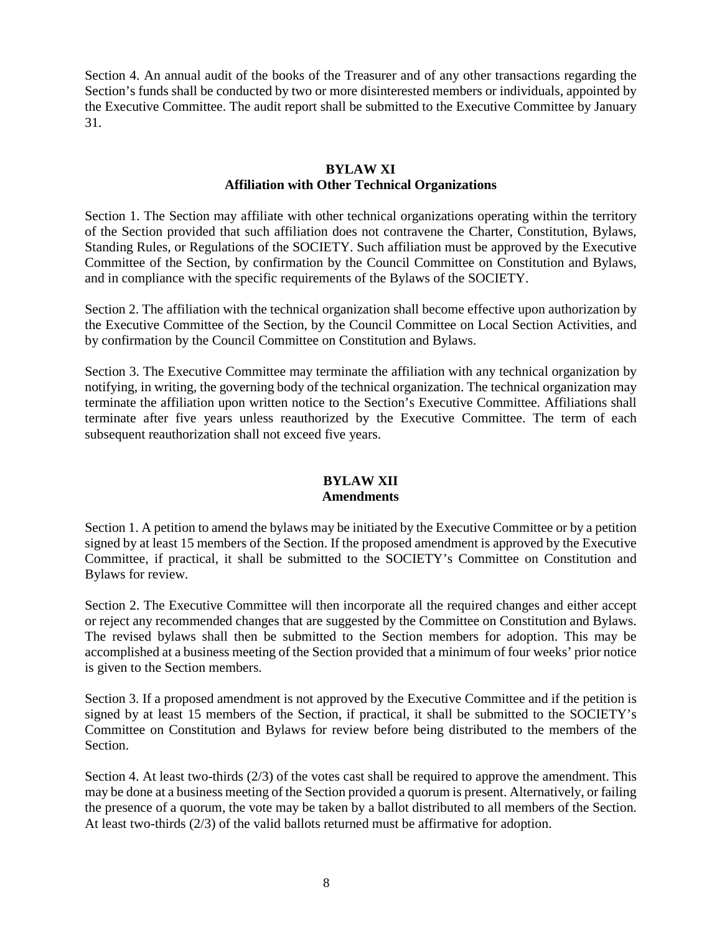Section 4. An annual audit of the books of the Treasurer and of any other transactions regarding the Section's funds shall be conducted by two or more disinterested members or individuals, appointed by the Executive Committee. The audit report shall be submitted to the Executive Committee by January 31.

## **BYLAW XI Affiliation with Other Technical Organizations**

Section 1. The Section may affiliate with other technical organizations operating within the territory of the Section provided that such affiliation does not contravene the Charter, Constitution, Bylaws, Standing Rules, or Regulations of the SOCIETY. Such affiliation must be approved by the Executive Committee of the Section, by confirmation by the Council Committee on Constitution and Bylaws, and in compliance with the specific requirements of the Bylaws of the SOCIETY.

Section 2. The affiliation with the technical organization shall become effective upon authorization by the Executive Committee of the Section, by the Council Committee on Local Section Activities, and by confirmation by the Council Committee on Constitution and Bylaws.

Section 3. The Executive Committee may terminate the affiliation with any technical organization by notifying, in writing, the governing body of the technical organization. The technical organization may terminate the affiliation upon written notice to the Section's Executive Committee. Affiliations shall terminate after five years unless reauthorized by the Executive Committee. The term of each subsequent reauthorization shall not exceed five years.

# **BYLAW XII Amendments**

Section 1. A petition to amend the bylaws may be initiated by the Executive Committee or by a petition signed by at least 15 members of the Section. If the proposed amendment is approved by the Executive Committee, if practical, it shall be submitted to the SOCIETY's Committee on Constitution and Bylaws for review.

Section 2. The Executive Committee will then incorporate all the required changes and either accept or reject any recommended changes that are suggested by the Committee on Constitution and Bylaws. The revised bylaws shall then be submitted to the Section members for adoption. This may be accomplished at a business meeting of the Section provided that a minimum of four weeks' prior notice is given to the Section members.

Section 3. If a proposed amendment is not approved by the Executive Committee and if the petition is signed by at least 15 members of the Section, if practical, it shall be submitted to the SOCIETY's Committee on Constitution and Bylaws for review before being distributed to the members of the Section.

Section 4. At least two-thirds (2/3) of the votes cast shall be required to approve the amendment. This may be done at a business meeting of the Section provided a quorum is present. Alternatively, or failing the presence of a quorum, the vote may be taken by a ballot distributed to all members of the Section. At least two-thirds (2/3) of the valid ballots returned must be affirmative for adoption.